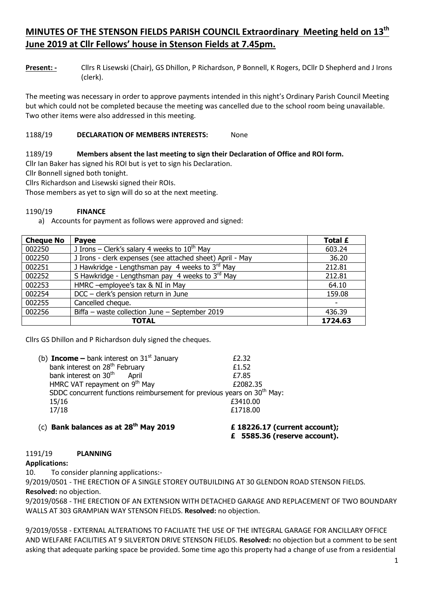# **MINUTES OF THE STENSON FIELDS PARISH COUNCIL Extraordinary Meeting held on 13th June 2019 at Cllr Fellows' house in Stenson Fields at 7.45pm.**

**Present: -** Cllrs R Lisewski (Chair), GS Dhillon, P Richardson, P Bonnell, K Rogers, DCllr D Shepherd and J Irons (clerk).

The meeting was necessary in order to approve payments intended in this night's Ordinary Parish Council Meeting but which could not be completed because the meeting was cancelled due to the school room being unavailable. Two other items were also addressed in this meeting.

## 1188/19 **DECLARATION OF MEMBERS INTERESTS:** None

#### 1189/19 **Members absent the last meeting to sign their Declaration of Office and ROI form.**

Cllr Ian Baker has signed his ROI but is yet to sign his Declaration.

Cllr Bonnell signed both tonight.

Cllrs Richardson and Lisewski signed their ROIs.

Those members as yet to sign will do so at the next meeting.

#### 1190/19 **FINANCE**

a) Accounts for payment as follows were approved and signed:

| <b>Cheque No</b> | Payee                                                       | Total £ |
|------------------|-------------------------------------------------------------|---------|
| 002250           | J Irons – Clerk's salary 4 weeks to $10^{th}$ May           | 603.24  |
| 002250           | J Irons - clerk expenses (see attached sheet) April - May   | 36.20   |
| 002251           | J Hawkridge - Lengthsman pay 4 weeks to $3^{\text{rd}}$ May | 212.81  |
| 002252           | S Hawkridge - Lengthsman pay 4 weeks to 3rd May             | 212.81  |
| 002253           | HMRC -employee's tax & NI in May                            | 64.10   |
| 002254           | DCC - clerk's pension return in June                        | 159.08  |
| 002255           | Cancelled cheque.                                           |         |
| 002256           | Biffa - waste collection June - September 2019              | 436.39  |
|                  | <b>TOTAL</b>                                                | 1724.63 |

Cllrs GS Dhillon and P Richardson duly signed the cheques.

| (c) Bank balances as at 28 <sup>th</sup> May 2019                                   | £ 18226.17 (current account); |
|-------------------------------------------------------------------------------------|-------------------------------|
| 17/18                                                                               | £1718.00                      |
| 15/16                                                                               | £3410.00                      |
| SDDC concurrent functions reimbursement for previous years on 30 <sup>th</sup> May: |                               |
| HMRC VAT repayment on 9 <sup>th</sup> May                                           | £2082.35                      |
| bank interest on 30 <sup>th</sup> April                                             | £7.85                         |
| bank interest on 28 <sup>th</sup> February                                          | £1.52                         |
| (b) <b>Income</b> – bank interest on $31st$ January                                 | £2.32                         |

**£ 5585.36 (reserve account).**

#### 1191/19 **PLANNING**

#### **Applications:**

10. To consider planning applications:-

9/2019/0501 - THE ERECTION OF A SINGLE STOREY OUTBUILDING AT 30 GLENDON ROAD STENSON FIELDS. **Resolved:** no objection.

9/2019/0568 - THE ERECTION OF AN EXTENSION WITH DETACHED GARAGE AND REPLACEMENT OF TWO BOUNDARY WALLS AT 303 GRAMPIAN WAY STENSON FIELDS. **Resolved:** no objection.

9/2019/0558 - EXTERNAL ALTERATIONS TO FACILIATE THE USE OF THE INTEGRAL GARAGE FOR ANCILLARY OFFICE AND WELFARE FACILITIES AT 9 SILVERTON DRIVE STENSON FIELDS. **Resolved:** no objection but a comment to be sent asking that adequate parking space be provided. Some time ago this property had a change of use from a residential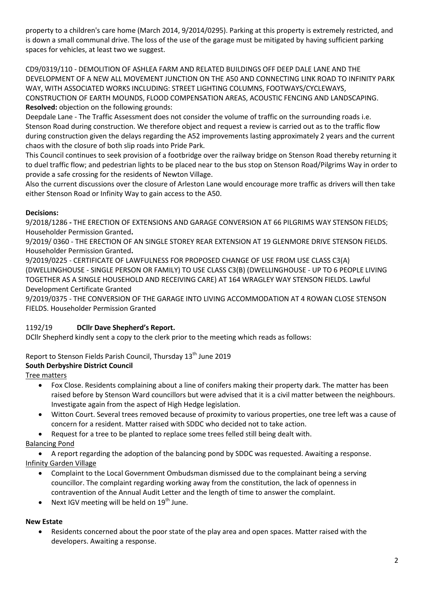property to a children's care home (March 2014, 9/2014/0295). Parking at this property is extremely restricted, and is down a small communal drive. The loss of the use of the garage must be mitigated by having sufficient parking spaces for vehicles, at least two we suggest.

CD9/0319/110 - DEMOLITION OF ASHLEA FARM AND RELATED BUILDINGS OFF DEEP DALE LANE AND THE DEVELOPMENT OF A NEW ALL MOVEMENT JUNCTION ON THE A50 AND CONNECTING LINK ROAD TO INFINITY PARK WAY, WITH ASSOCIATED WORKS INCLUDING: STREET LIGHTING COLUMNS, FOOTWAYS/CYCLEWAYS, CONSTRUCTION OF EARTH MOUNDS, FLOOD COMPENSATION AREAS, ACOUSTIC FENCING AND LANDSCAPING. **Resolved:** objection on the following grounds:

Deepdale Lane - The Traffic Assessment does not consider the volume of traffic on the surrounding roads i.e. Stenson Road during construction. We therefore object and request a review is carried out as to the traffic flow during construction given the delays regarding the A52 improvements lasting approximately 2 years and the current chaos with the closure of both slip roads into Pride Park.

This Council continues to seek provision of a footbridge over the railway bridge on Stenson Road thereby returning it to duel traffic flow; and pedestrian lights to be placed near to the bus stop on Stenson Road/Pilgrims Way in order to provide a safe crossing for the residents of Newton Village.

Also the current discussions over the closure of Arleston Lane would encourage more traffic as drivers will then take either Stenson Road or Infinity Way to gain access to the A50.

# **Decisions:**

9/2018/1286 **-** THE ERECTION OF EXTENSIONS AND GARAGE CONVERSION AT 66 PILGRIMS WAY STENSON FIELDS; Householder Permission Granted**.** 

9/2019/ 0360 - THE ERECTION OF AN SINGLE STOREY REAR EXTENSION AT 19 GLENMORE DRIVE STENSON FIELDS. Householder Permission Granted**.**

9/2019/0225 - CERTIFICATE OF LAWFULNESS FOR PROPOSED CHANGE OF USE FROM USE CLASS C3(A) (DWELLINGHOUSE - SINGLE PERSON OR FAMILY) TO USE CLASS C3(B) (DWELLINGHOUSE - UP TO 6 PEOPLE LIVING TOGETHER AS A SINGLE HOUSEHOLD AND RECEIVING CARE) AT 164 WRAGLEY WAY STENSON FIELDS. Lawful Development Certificate Granted

9/2019/0375 - THE CONVERSION OF THE GARAGE INTO LIVING ACCOMMODATION AT 4 ROWAN CLOSE STENSON FIELDS. Householder Permission Granted

# 1192/19 **DCllr Dave Shepherd's Report.**

DCllr Shepherd kindly sent a copy to the clerk prior to the meeting which reads as follows:

# Report to Stenson Fields Parish Council, Thursday 13<sup>th</sup> June 2019

# **South Derbyshire District Council**

Tree matters

- Fox Close. Residents complaining about a line of conifers making their property dark. The matter has been raised before by Stenson Ward councillors but were advised that it is a civil matter between the neighbours. Investigate again from the aspect of High Hedge legislation.
- Witton Court. Several trees removed because of proximity to various properties, one tree left was a cause of concern for a resident. Matter raised with SDDC who decided not to take action.
- Request for a tree to be planted to replace some trees felled still being dealt with.

Balancing Pond

 A report regarding the adoption of the balancing pond by SDDC was requested. Awaiting a response. Infinity Garden Village

- Complaint to the Local Government Ombudsman dismissed due to the complainant being a serving councillor. The complaint regarding working away from the constitution, the lack of openness in contravention of the Annual Audit Letter and the length of time to answer the complaint.
- Next IGV meeting will be held on  $19<sup>th</sup>$  June.

# **New Estate**

 Residents concerned about the poor state of the play area and open spaces. Matter raised with the developers. Awaiting a response.